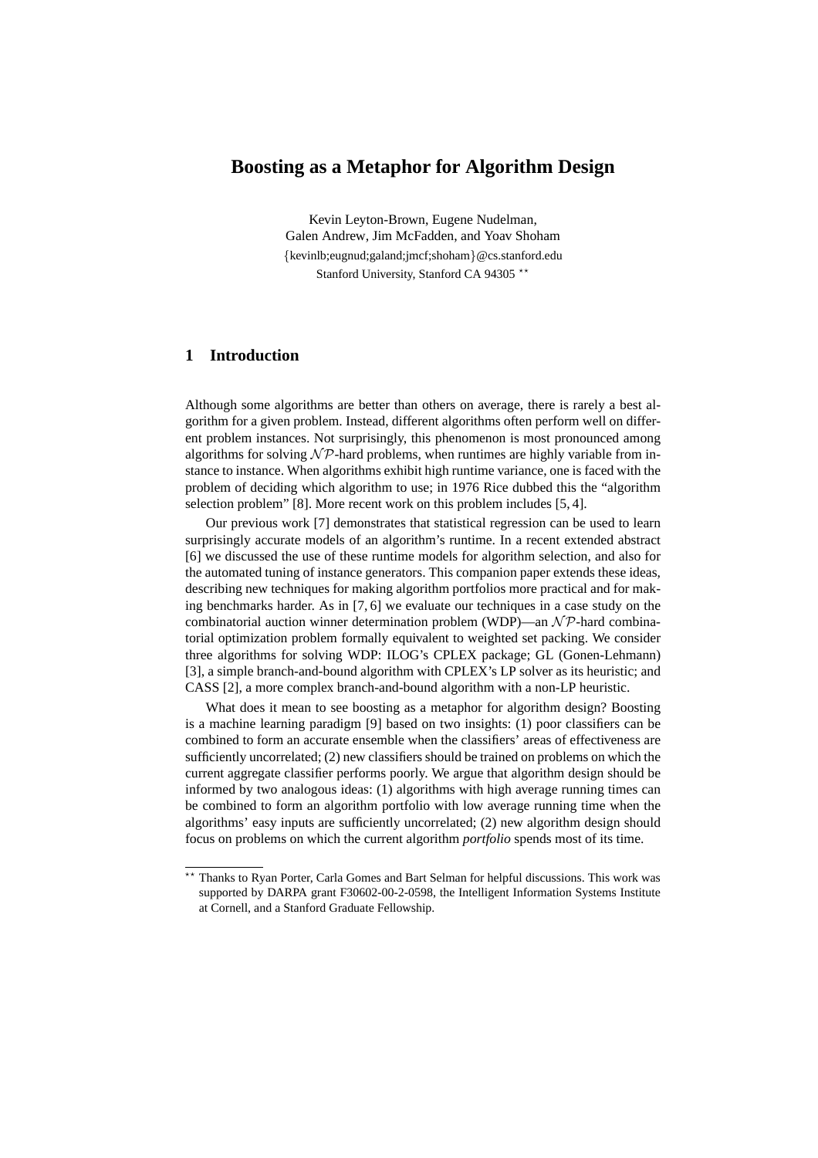# **Boosting as a Metaphor for Algorithm Design**

Kevin Leyton-Brown, Eugene Nudelman, Galen Andrew, Jim McFadden, and Yoav Shoham {kevinlb;eugnud;galand;jmcf;shoham}@cs.stanford.edu Stanford University, Stanford CA 94305 \*\*

## **1 Introduction**

Although some algorithms are better than others on average, there is rarely a best algorithm for a given problem. Instead, different algorithms often perform well on different problem instances. Not surprisingly, this phenomenon is most pronounced among algorithms for solving  $N \mathcal{P}$ -hard problems, when runtimes are highly variable from instance to instance. When algorithms exhibit high runtime variance, one is faced with the problem of deciding which algorithm to use; in 1976 Rice dubbed this the "algorithm selection problem" [8]. More recent work on this problem includes [5, 4].

Our previous work [7] demonstrates that statistical regression can be used to learn surprisingly accurate models of an algorithm's runtime. In a recent extended abstract [6] we discussed the use of these runtime models for algorithm selection, and also for the automated tuning of instance generators. This companion paper extends these ideas, describing new techniques for making algorithm portfolios more practical and for making benchmarks harder. As in [7, 6] we evaluate our techniques in a case study on the combinatorial auction winner determination problem (WDP)—an  $N \mathcal{P}$ -hard combinatorial optimization problem formally equivalent to weighted set packing. We consider three algorithms for solving WDP: ILOG's CPLEX package; GL (Gonen-Lehmann) [3], a simple branch-and-bound algorithm with CPLEX's LP solver as its heuristic; and CASS [2], a more complex branch-and-bound algorithm with a non-LP heuristic.

What does it mean to see boosting as a metaphor for algorithm design? Boosting is a machine learning paradigm [9] based on two insights: (1) poor classifiers can be combined to form an accurate ensemble when the classifiers' areas of effectiveness are sufficiently uncorrelated; (2) new classifiers should be trained on problems on which the current aggregate classifier performs poorly. We argue that algorithm design should be informed by two analogous ideas: (1) algorithms with high average running times can be combined to form an algorithm portfolio with low average running time when the algorithms' easy inputs are sufficiently uncorrelated; (2) new algorithm design should focus on problems on which the current algorithm *portfolio* spends most of its time.

<sup>\*\*</sup> Thanks to Ryan Porter, Carla Gomes and Bart Selman for helpful discussions. This work was supported by DARPA grant F30602-00-2-0598, the Intelligent Information Systems Institute at Cornell, and a Stanford Graduate Fellowship.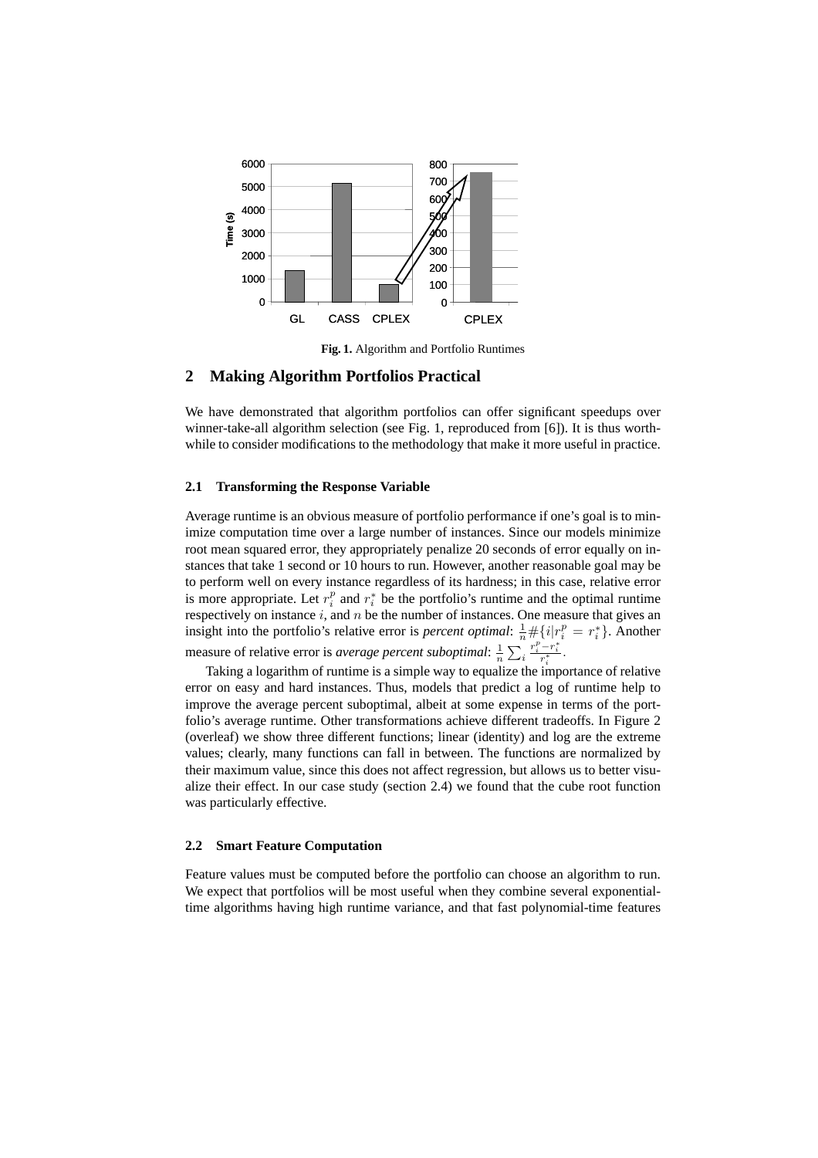

**Fig. 1.** Algorithm and Portfolio Runtimes

### **2 Making Algorithm Portfolios Practical**

We have demonstrated that algorithm portfolios can offer significant speedups over winner-take-all algorithm selection (see Fig. 1, reproduced from [6]). It is thus worthwhile to consider modifications to the methodology that make it more useful in practice.

### **2.1 Transforming the Response Variable**

Average runtime is an obvious measure of portfolio performance if one's goal is to minimize computation time over a large number of instances. Since our models minimize root mean squared error, they appropriately penalize 20 seconds of error equally on instances that take 1 second or 10 hours to run. However, another reasonable goal may be to perform well on every instance regardless of its hardness; in this case, relative error is more appropriate. Let  $r_i^p$  and  $r_i^*$  be the portfolio's runtime and the optimal runtime respectively on instance  $i$ , and  $n$  be the number of instances. One measure that gives an insight into the portfolio's relative error is *percent optimal*:  $\frac{1}{n} \# \{i | r_i^p = r_i^*\}$ . Another measure of relative error is *average percent suboptimal*:  $\frac{1}{n}$  $\overline{ }$ i  $\frac{r_i^p-r_i^*}{r_i^*}.$ 

Taking a logarithm of runtime is a simple way to equalize the importance of relative error on easy and hard instances. Thus, models that predict a log of runtime help to improve the average percent suboptimal, albeit at some expense in terms of the portfolio's average runtime. Other transformations achieve different tradeoffs. In Figure 2 (overleaf) we show three different functions; linear (identity) and log are the extreme values; clearly, many functions can fall in between. The functions are normalized by their maximum value, since this does not affect regression, but allows us to better visualize their effect. In our case study (section 2.4) we found that the cube root function was particularly effective.

#### **2.2 Smart Feature Computation**

Feature values must be computed before the portfolio can choose an algorithm to run. We expect that portfolios will be most useful when they combine several exponentialtime algorithms having high runtime variance, and that fast polynomial-time features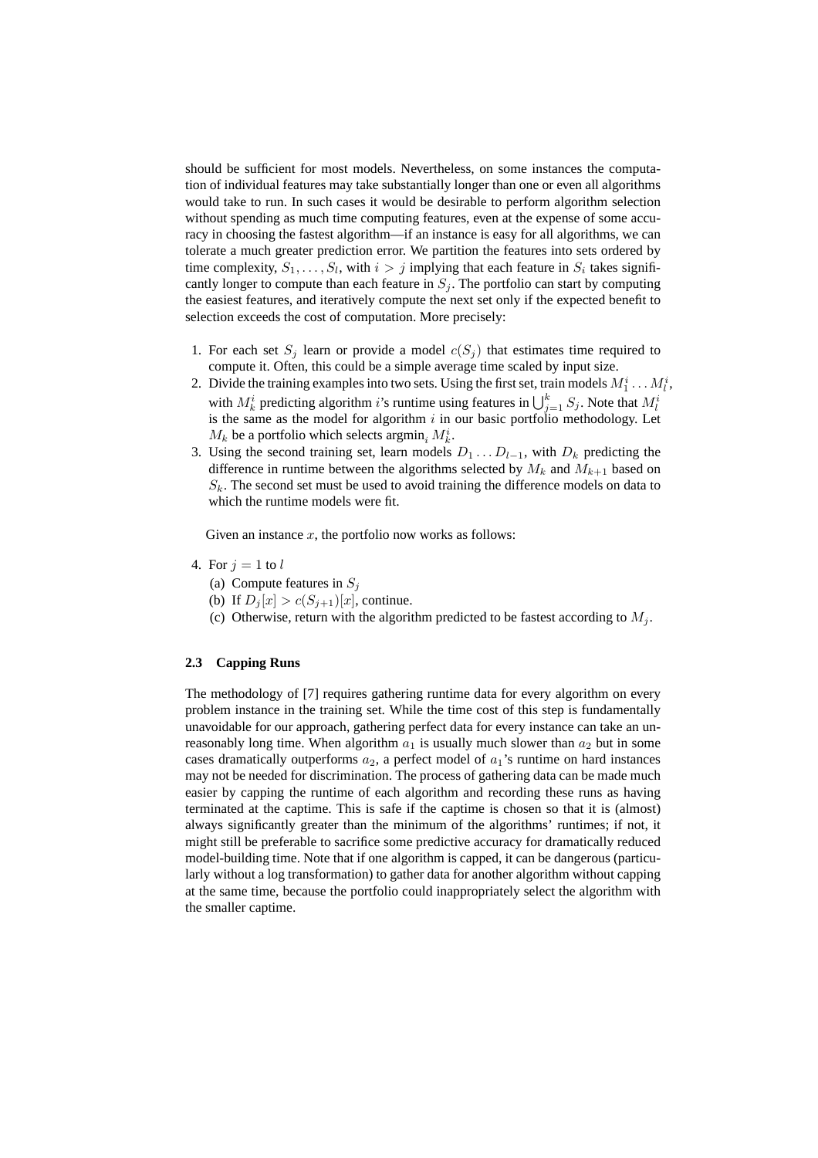should be sufficient for most models. Nevertheless, on some instances the computation of individual features may take substantially longer than one or even all algorithms would take to run. In such cases it would be desirable to perform algorithm selection without spending as much time computing features, even at the expense of some accuracy in choosing the fastest algorithm—if an instance is easy for all algorithms, we can tolerate a much greater prediction error. We partition the features into sets ordered by time complexity,  $S_1, \ldots, S_l$ , with  $i > j$  implying that each feature in  $S_i$  takes significantly longer to compute than each feature in  $S_j$ . The portfolio can start by computing the easiest features, and iteratively compute the next set only if the expected benefit to selection exceeds the cost of computation. More precisely:

- 1. For each set  $S_j$  learn or provide a model  $c(S_j)$  that estimates time required to compute it. Often, this could be a simple average time scaled by input size.
- 2. Divide the training examples into two sets. Using the first set, train models  $M_1^i \dots M_l^i$ , bivide the training examples into two sets. Osing the first set, train models  $M_1 \ldots M_k$ <br>with  $M_k^i$  predicting algorithm *i*'s runtime using features in  $\bigcup_{j=1}^k S_j$ . Note that  $M_l^i$ is the same as the model for algorithm  $i$  in our basic portfolio methodology. Let  $M_k$  be a portfolio which selects argmin<sub>i</sub>  $M_k^i$ .
- 3. Using the second training set, learn models  $D_1 \ldots D_{l-1}$ , with  $D_k$  predicting the difference in runtime between the algorithms selected by  $M_k$  and  $M_{k+1}$  based on  $S_k$ . The second set must be used to avoid training the difference models on data to which the runtime models were fit.

Given an instance  $x$ , the portfolio now works as follows:

- 4. For  $j = 1$  to l
	- (a) Compute features in  $S_i$
	- (b) If  $D_i[x] > c(S_{i+1})[x]$ , continue.
	- (c) Otherwise, return with the algorithm predicted to be fastest according to  $M_i$ .

#### **2.3 Capping Runs**

The methodology of [7] requires gathering runtime data for every algorithm on every problem instance in the training set. While the time cost of this step is fundamentally unavoidable for our approach, gathering perfect data for every instance can take an unreasonably long time. When algorithm  $a_1$  is usually much slower than  $a_2$  but in some cases dramatically outperforms  $a_2$ , a perfect model of  $a_1$ 's runtime on hard instances may not be needed for discrimination. The process of gathering data can be made much easier by capping the runtime of each algorithm and recording these runs as having terminated at the captime. This is safe if the captime is chosen so that it is (almost) always significantly greater than the minimum of the algorithms' runtimes; if not, it might still be preferable to sacrifice some predictive accuracy for dramatically reduced model-building time. Note that if one algorithm is capped, it can be dangerous (particularly without a log transformation) to gather data for another algorithm without capping at the same time, because the portfolio could inappropriately select the algorithm with the smaller captime.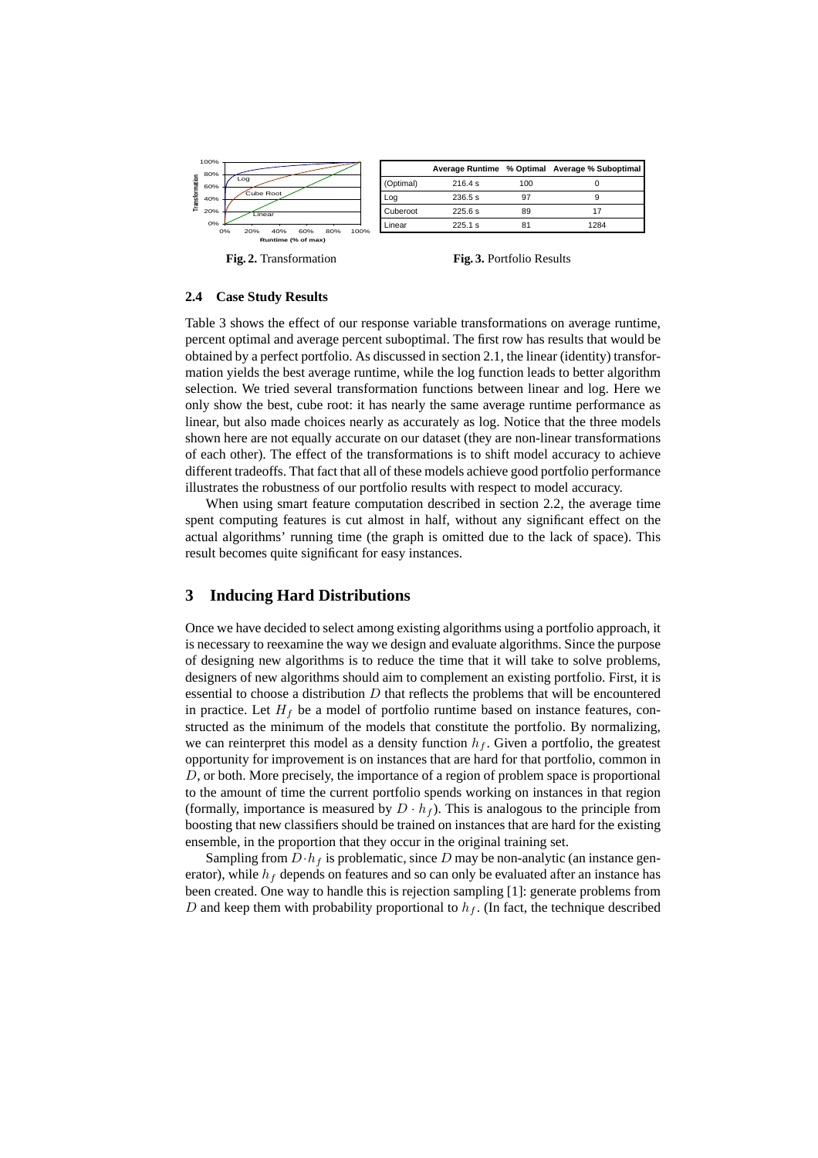

**Fig. 2.** Transformation

**Fig. 3.** Portfolio Results

#### **2.4 Case Study Results**

Table 3 shows the effect of our response variable transformations on average runtime, percent optimal and average percent suboptimal. The first row has results that would be obtained by a perfect portfolio. As discussed in section 2.1, the linear (identity) transformation yields the best average runtime, while the log function leads to better algorithm selection. We tried several transformation functions between linear and log. Here we only show the best, cube root: it has nearly the same average runtime performance as linear, but also made choices nearly as accurately as log. Notice that the three models shown here are not equally accurate on our dataset (they are non-linear transformations of each other). The effect of the transformations is to shift model accuracy to achieve different tradeoffs. That fact that all of these models achieve good portfolio performance illustrates the robustness of our portfolio results with respect to model accuracy.

When using smart feature computation described in section 2.2, the average time spent computing features is cut almost in half, without any significant effect on the actual algorithms' running time (the graph is omitted due to the lack of space). This result becomes quite significant for easy instances.

## **3 Inducing Hard Distributions**

Once we have decided to select among existing algorithms using a portfolio approach, it is necessary to reexamine the way we design and evaluate algorithms. Since the purpose of designing new algorithms is to reduce the time that it will take to solve problems, designers of new algorithms should aim to complement an existing portfolio. First, it is essential to choose a distribution  $D$  that reflects the problems that will be encountered in practice. Let  $H_f$  be a model of portfolio runtime based on instance features, constructed as the minimum of the models that constitute the portfolio. By normalizing, we can reinterpret this model as a density function  $h_f$ . Given a portfolio, the greatest opportunity for improvement is on instances that are hard for that portfolio, common in D, or both. More precisely, the importance of a region of problem space is proportional to the amount of time the current portfolio spends working on instances in that region (formally, importance is measured by  $D \cdot h_f$ ). This is analogous to the principle from boosting that new classifiers should be trained on instances that are hard for the existing ensemble, in the proportion that they occur in the original training set.

Sampling from  $D \cdot h_f$  is problematic, since D may be non-analytic (an instance generator), while  $h_f$  depends on features and so can only be evaluated after an instance has been created. One way to handle this is rejection sampling [1]: generate problems from D and keep them with probability proportional to  $h_f$ . (In fact, the technique described